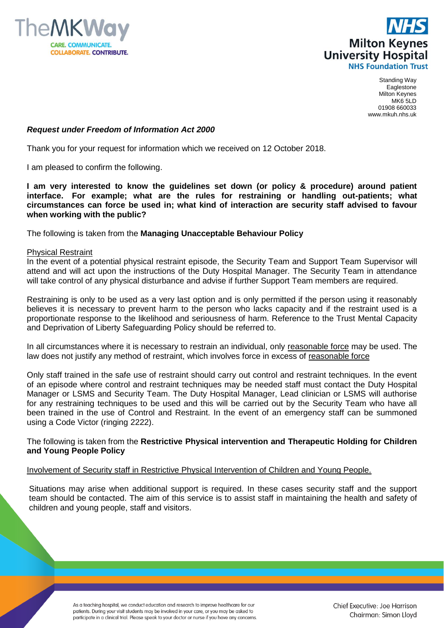



Standing Way Eaglestone Milton Keynes MK6 5LD 01908 660033 www.mkuh.nhs.uk

## *Request under Freedom of Information Act 2000*

Thank you for your request for information which we received on 12 October 2018.

I am pleased to confirm the following.

**I am very interested to know the guidelines set down (or policy & procedure) around patient interface. For example; what are the rules for restraining or handling out-patients; what circumstances can force be used in; what kind of interaction are security staff advised to favour when working with the public?**

The following is taken from the **Managing Unacceptable Behaviour Policy**

## Physical Restraint

In the event of a potential physical restraint episode, the Security Team and Support Team Supervisor will attend and will act upon the instructions of the Duty Hospital Manager. The Security Team in attendance will take control of any physical disturbance and advise if further Support Team members are required.

Restraining is only to be used as a very last option and is only permitted if the person using it reasonably believes it is necessary to prevent harm to the person who lacks capacity and if the restraint used is a proportionate response to the likelihood and seriousness of harm. Reference to the Trust Mental Capacity and Deprivation of Liberty Safeguarding Policy should be referred to.

In all circumstances where it is necessary to restrain an individual, only reasonable force may be used. The law does not justify any method of restraint, which involves force in excess of reasonable force

Only staff trained in the safe use of restraint should carry out control and restraint techniques. In the event of an episode where control and restraint techniques may be needed staff must contact the Duty Hospital Manager or LSMS and Security Team. The Duty Hospital Manager, Lead clinician or LSMS will authorise for any restraining techniques to be used and this will be carried out by the Security Team who have all been trained in the use of Control and Restraint. In the event of an emergency staff can be summoned using a Code Victor (ringing 2222).

## The following is taken from the **Restrictive Physical intervention and Therapeutic Holding for Children and Young People Policy**

## Involvement of Security staff in Restrictive Physical Intervention of Children and Young People.

Situations may arise when additional support is required. In these cases security staff and the support team should be contacted. The aim of this service is to assist staff in maintaining the health and safety of children and young people, staff and visitors.

> As a teaching hospital, we conduct education and research to improve healthcare for our patients. During your visit students may be involved in your care, or you may be asked to participate in a clinical trial. Please speak to your doctor or nurse if you have any concerns.

Chief Executive: Joe Harrison Chairman: Simon Lloyd